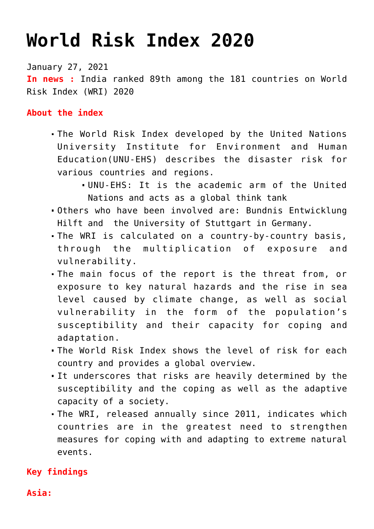# **[World Risk Index 2020](https://journalsofindia.com/world-risk-index-2020/)**

January 27, 2021 **In news :** India ranked 89th among the 181 countries on World Risk Index (WRI) 2020

#### **About the index**

- The World Risk Index developed by the United Nations University Institute for Environment and Human Education(UNU-EHS) describes the disaster risk for various countries and regions.
	- UNU-EHS: It is the academic arm of the United Nations and acts as a global think tank
- Others who have been involved are: Bundnis Entwicklung Hilft and the University of Stuttgart in Germany.
- The WRI is calculated on a country-by-country basis, through the multiplication of exposure and vulnerability.
- The main focus of the report is the threat from, or exposure to key natural hazards and the rise in sea level caused by climate change, as well as social vulnerability in the form of the population's susceptibility and their capacity for coping and adaptation.
- The World Risk Index shows the level of risk for each country and provides a global overview.
- It underscores that risks are heavily determined by the susceptibility and the coping as well as the adaptive capacity of a society.
- The WRI, released annually since 2011, indicates which countries are in the greatest need to strengthen measures for coping with and adapting to extreme natural events.

## **Key findings**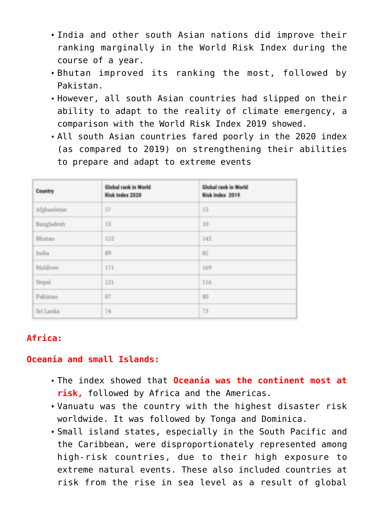- India and other south Asian nations did improve their ranking marginally in the World Risk Index during the course of a year.
- Bhutan improved its ranking the most, followed by Pakistan.
- However, all south Asian countries had slipped on their ability to adapt to the reality of climate emergency, a comparison with the World Risk Index 2019 showed.
- All south Asian countries fared poorly in the 2020 index (as compared to 2019) on strengthening their abilities to prepare and adapt to extreme events

| Country         | <b>Global rank in World</b><br><b>Risk Index 2020</b> | <b>Global rank in World</b><br>Risk Index 2019 |
|-----------------|-------------------------------------------------------|------------------------------------------------|
| Afghanistan     | 57                                                    | 55                                             |
| Bangladesh      | 13                                                    | 10                                             |
| Bhutan          | 152                                                   | 143                                            |
| India           | 39                                                    | 85                                             |
| <b>Maldives</b> | 171                                                   | 169                                            |
| Nepal           | 121                                                   | 116                                            |
| Pakistan        | 37                                                    | 80                                             |
| Sri Lanka       | 74                                                    | 75                                             |

## **Africa:**

#### **Oceania and small Islands:**

- The index showed that **Oceania was the continent most at risk,** followed by Africa and the Americas.
- Vanuatu was the country with the highest disaster risk worldwide. It was followed by Tonga and Dominica.
- Small island states, especially in the South Pacific and the Caribbean, were disproportionately represented among high-risk countries, due to their high exposure to extreme natural events. These also included countries at risk from the rise in sea level as a result of global